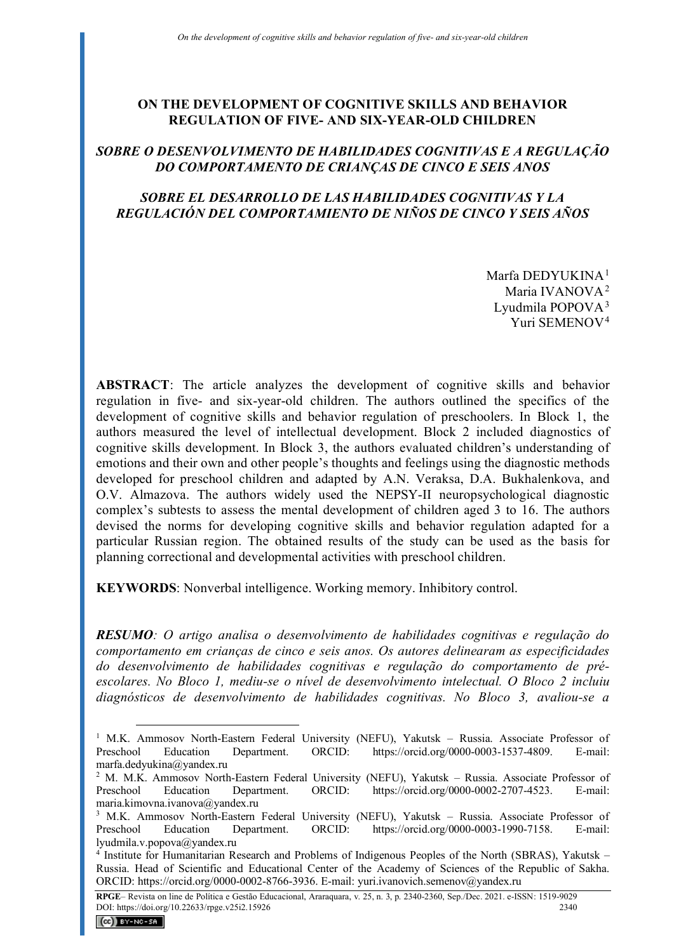# **ON THE DEVELOPMENT OF COGNITIVE SKILLS AND BEHAVIOR REGULATION OF FIVE- AND SIX-YEAR-OLD CHILDREN**

# *SOBRE O DESENVOLVIMENTO DE HABILIDADES COGNITIVAS E A REGULAÇÃO DO COMPORTAMENTO DE CRIANÇAS DE CINCO E SEIS ANOS*

## *SOBRE EL DESARROLLO DE LAS HABILIDADES COGNITIVAS Y LA REGULACIÓN DEL COMPORTAMIENTO DE NIÑOS DE CINCO Y SEIS AÑOS*

Marfa DEDYUKINA<sup>[1](#page-0-0)</sup> Maria IVANOVA<sup>[2](#page-0-1)</sup> Lyudmila POPOV $A<sup>3</sup>$  $A<sup>3</sup>$  $A<sup>3</sup>$ Yuri SEMENOV[4](#page-0-3)

**ABSTRACT**: The article analyzes the development of cognitive skills and behavior regulation in five- and six-year-old children. The authors outlined the specifics of the development of cognitive skills and behavior regulation of preschoolers. In Block 1, the authors measured the level of intellectual development. Block 2 included diagnostics of cognitive skills development. In Block 3, the authors evaluated children's understanding of emotions and their own and other people's thoughts and feelings using the diagnostic methods developed for preschool children and adapted by A.N. Veraksa, D.A. Bukhalenkova, and O.V. Almazova. The authors widely used the NEPSY-II neuropsychological diagnostic complex's subtests to assess the mental development of children aged 3 to 16. The authors devised the norms for developing cognitive skills and behavior regulation adapted for a particular Russian region. The obtained results of the study can be used as the basis for planning correctional and developmental activities with preschool children.

**KEYWORDS**: Nonverbal intelligence. Working memory. Inhibitory control.

*RESUMO: O artigo analisa o desenvolvimento de habilidades cognitivas e regulação do comportamento em crianças de cinco e seis anos. Os autores delinearam as especificidades do desenvolvimento de habilidades cognitivas e regulação do comportamento de préescolares. No Bloco 1, mediu-se o nível de desenvolvimento intelectual. O Bloco 2 incluiu diagnósticos de desenvolvimento de habilidades cognitivas. No Bloco 3, avaliou-se a* 

<span id="page-0-0"></span><sup>&</sup>lt;sup>1</sup> M.K. Ammosov North-Eastern Federal University (NEFU), Yakutsk - Russia. Associate Professor of Preschool Education Department. ORCID: https://orcid.org/0000-0003-1537-4809. E-mail: marfa.dedyukina@yandex.ru

<span id="page-0-1"></span><sup>&</sup>lt;sup>2</sup> M. M.K. Ammosov North-Eastern Federal University (NEFU), Yakutsk – Russia. Associate Professor of Preschool Education Department. ORCID: https://orcid.org/0000-0002-2707-4523. E-mail: maria.kimovna.ivanova@yandex.ru

<span id="page-0-2"></span><sup>3</sup> M.K. Ammosov North-Eastern Federal University (NEFU), Yakutsk – Russia. Associate Professor of Preschool Education Department. ORCID: https://orcid.org/0000-0003-1990-7158. E-mail: lyudmila.v.popova@yandex.ru

<span id="page-0-3"></span><sup>4</sup> Institute for Humanitarian Research and Problems of Indigenous Peoples of the North (SBRAS), Yakutsk – Russia. Head of Scientific and Educational Center of the Academy of Sciences of the Republic of Sakha. ORCID: https://orcid.org/0000-0002-8766-3936. E-mail: yuri.ivanovich.semenov@yandex.ru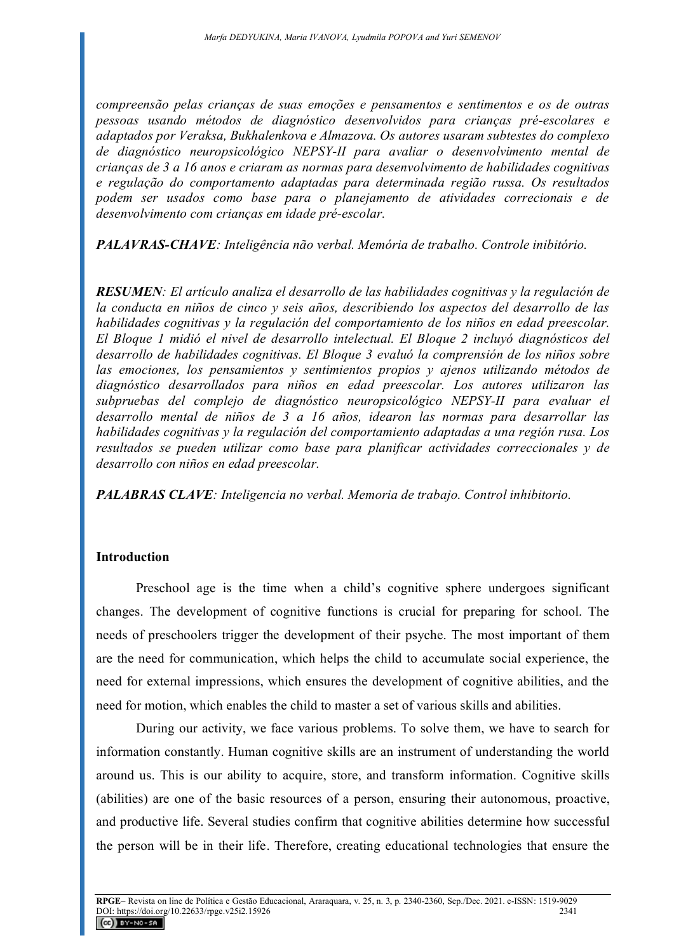*compreensão pelas crianças de suas emoções e pensamentos e sentimentos e os de outras pessoas usando métodos de diagnóstico desenvolvidos para crianças pré-escolares e adaptados por Veraksa, Bukhalenkova e Almazova. Os autores usaram subtestes do complexo de diagnóstico neuropsicológico NEPSY-II para avaliar o desenvolvimento mental de crianças de 3 a 16 anos e criaram as normas para desenvolvimento de habilidades cognitivas e regulação do comportamento adaptadas para determinada região russa. Os resultados podem ser usados como base para o planejamento de atividades correcionais e de desenvolvimento com crianças em idade pré-escolar.*

*PALAVRAS-CHAVE: Inteligência não verbal. Memória de trabalho. Controle inibitório.* 

*RESUMEN: El artículo analiza el desarrollo de las habilidades cognitivas y la regulación de la conducta en niños de cinco y seis años, describiendo los aspectos del desarrollo de las habilidades cognitivas y la regulación del comportamiento de los niños en edad preescolar. El Bloque 1 midió el nivel de desarrollo intelectual. El Bloque 2 incluyó diagnósticos del desarrollo de habilidades cognitivas. El Bloque 3 evaluó la comprensión de los niños sobre las emociones, los pensamientos y sentimientos propios y ajenos utilizando métodos de diagnóstico desarrollados para niños en edad preescolar. Los autores utilizaron las subpruebas del complejo de diagnóstico neuropsicológico NEPSY-II para evaluar el desarrollo mental de niños de 3 a 16 años, idearon las normas para desarrollar las habilidades cognitivas y la regulación del comportamiento adaptadas a una región rusa. Los resultados se pueden utilizar como base para planificar actividades correccionales y de desarrollo con niños en edad preescolar.*

*PALABRAS CLAVE: Inteligencia no verbal. Memoria de trabajo. Control inhibitorio.* 

### **Introduction**

Preschool age is the time when a child's cognitive sphere undergoes significant changes. The development of cognitive functions is crucial for preparing for school. The needs of preschoolers trigger the development of their psyche. The most important of them are the need for communication, which helps the child to accumulate social experience, the need for external impressions, which ensures the development of cognitive abilities, and the need for motion, which enables the child to master a set of various skills and abilities.

During our activity, we face various problems. To solve them, we have to search for information constantly. Human cognitive skills are an instrument of understanding the world around us. This is our ability to acquire, store, and transform information. Cognitive skills (abilities) are one of the basic resources of a person, ensuring their autonomous, proactive, and productive life. Several studies confirm that cognitive abilities determine how successful the person will be in their life. Therefore, creating educational technologies that ensure the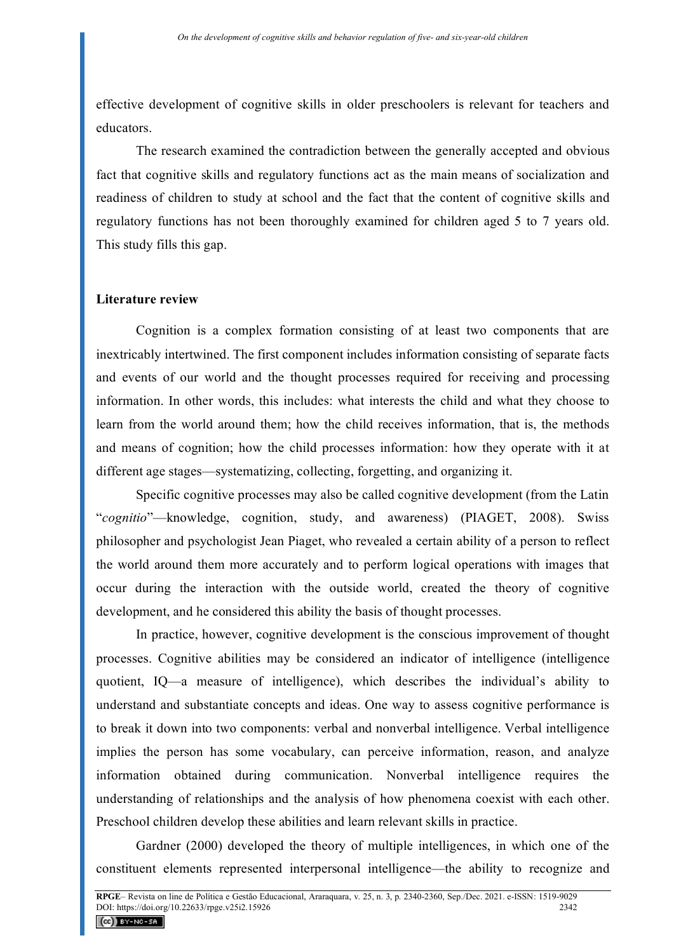effective development of cognitive skills in older preschoolers is relevant for teachers and educators.

The research examined the contradiction between the generally accepted and obvious fact that cognitive skills and regulatory functions act as the main means of socialization and readiness of children to study at school and the fact that the content of cognitive skills and regulatory functions has not been thoroughly examined for children aged 5 to 7 years old. This study fills this gap.

#### **Literature review**

Cognition is a complex formation consisting of at least two components that are inextricably intertwined. The first component includes information consisting of separate facts and events of our world and the thought processes required for receiving and processing information. In other words, this includes: what interests the child and what they choose to learn from the world around them; how the child receives information, that is, the methods and means of cognition; how the child processes information: how they operate with it at different age stages—systematizing, collecting, forgetting, and organizing it.

Specific cognitive processes may also be called cognitive development (from the Latin "*cognitio*"—knowledge, cognition, study, and awareness) (PIAGET, 2008). Swiss philosopher and psychologist Jean Piaget, who revealed a certain ability of a person to reflect the world around them more accurately and to perform logical operations with images that occur during the interaction with the outside world, created the theory of cognitive development, and he considered this ability the basis of thought processes.

In practice, however, cognitive development is the conscious improvement of thought processes. Cognitive abilities may be considered an indicator of intelligence (intelligence quotient, IQ—a measure of intelligence), which describes the individual's ability to understand and substantiate concepts and ideas. One way to assess cognitive performance is to break it down into two components: verbal and nonverbal intelligence. Verbal intelligence implies the person has some vocabulary, can perceive information, reason, and analyze information obtained during communication. Nonverbal intelligence requires the understanding of relationships and the analysis of how phenomena coexist with each other. Preschool children develop these abilities and learn relevant skills in practice.

Gardner (2000) developed the theory of multiple intelligences, in which one of the constituent elements represented interpersonal intelligence—the ability to recognize and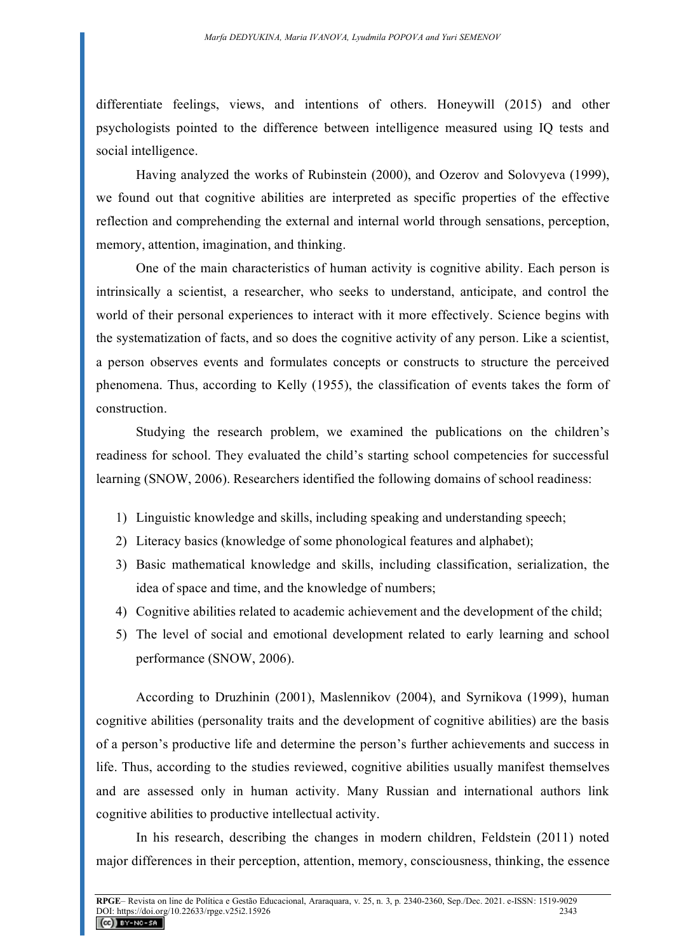differentiate feelings, views, and intentions of others. Honeywill (2015) and other psychologists pointed to the difference between intelligence measured using IQ tests and social intelligence.

Having analyzed the works of Rubinstein (2000), and Ozerov and Solovyeva (1999), we found out that cognitive abilities are interpreted as specific properties of the effective reflection and comprehending the external and internal world through sensations, perception, memory, attention, imagination, and thinking.

One of the main characteristics of human activity is cognitive ability. Each person is intrinsically a scientist, a researcher, who seeks to understand, anticipate, and control the world of their personal experiences to interact with it more effectively. Science begins with the systematization of facts, and so does the cognitive activity of any person. Like a scientist, a person observes events and formulates concepts or constructs to structure the perceived phenomena. Thus, according to Kelly (1955), the classification of events takes the form of construction.

Studying the research problem, we examined the publications on the children's readiness for school. They evaluated the child's starting school competencies for successful learning (SNOW, 2006). Researchers identified the following domains of school readiness:

- 1) Linguistic knowledge and skills, including speaking and understanding speech;
- 2) Literacy basics (knowledge of some phonological features and alphabet);
- 3) Basic mathematical knowledge and skills, including classification, serialization, the idea of space and time, and the knowledge of numbers;
- 4) Cognitive abilities related to academic achievement and the development of the child;
- 5) The level of social and emotional development related to early learning and school performance (SNOW, 2006).

According to Druzhinin (2001), Maslennikov (2004), and Syrnikova (1999), human cognitive abilities (personality traits and the development of cognitive abilities) are the basis of a person's productive life and determine the person's further achievements and success in life. Thus, according to the studies reviewed, cognitive abilities usually manifest themselves and are assessed only in human activity. Many Russian and international authors link cognitive abilities to productive intellectual activity.

In his research, describing the changes in modern children, Feldstein (2011) noted major differences in their perception, attention, memory, consciousness, thinking, the essence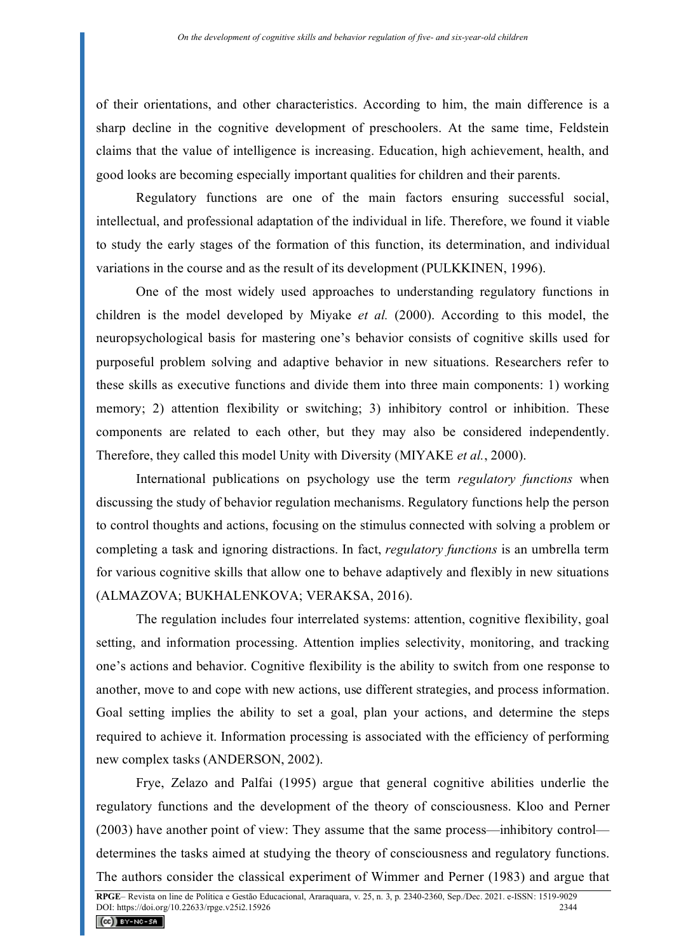of their orientations, and other characteristics. According to him, the main difference is a sharp decline in the cognitive development of preschoolers. At the same time, Feldstein claims that the value of intelligence is increasing. Education, high achievement, health, and good looks are becoming especially important qualities for children and their parents.

Regulatory functions are one of the main factors ensuring successful social, intellectual, and professional adaptation of the individual in life. Therefore, we found it viable to study the early stages of the formation of this function, its determination, and individual variations in the course and as the result of its development (PULKKINEN, 1996).

One of the most widely used approaches to understanding regulatory functions in children is the model developed by Miyake *et al.* (2000). According to this model, the neuropsychological basis for mastering one's behavior consists of cognitive skills used for purposeful problem solving and adaptive behavior in new situations. Researchers refer to these skills as executive functions and divide them into three main components: 1) working memory; 2) attention flexibility or switching; 3) inhibitory control or inhibition. These components are related to each other, but they may also be considered independently. Therefore, they called this model Unity with Diversity (MIYAKE *et al.*, 2000).

International publications on psychology use the term *regulatory functions* when discussing the study of behavior regulation mechanisms. Regulatory functions help the person to control thoughts and actions, focusing on the stimulus connected with solving a problem or completing a task and ignoring distractions. In fact, *regulatory functions* is an umbrella term for various cognitive skills that allow one to behave adaptively and flexibly in new situations (ALMAZOVA; BUKHALENKOVA; VERAKSA, 2016).

The regulation includes four interrelated systems: attention, cognitive flexibility, goal setting, and information processing. Attention implies selectivity, monitoring, and tracking one's actions and behavior. Cognitive flexibility is the ability to switch from one response to another, move to and cope with new actions, use different strategies, and process information. Goal setting implies the ability to set a goal, plan your actions, and determine the steps required to achieve it. Information processing is associated with the efficiency of performing new complex tasks (ANDERSON, 2002).

Frye, Zelazo and Palfai (1995) argue that general cognitive abilities underlie the regulatory functions and the development of the theory of consciousness. Kloo and Perner (2003) have another point of view: They assume that the same process—inhibitory control determines the tasks aimed at studying the theory of consciousness and regulatory functions. The authors consider the classical experiment of Wimmer and Perner (1983) and argue that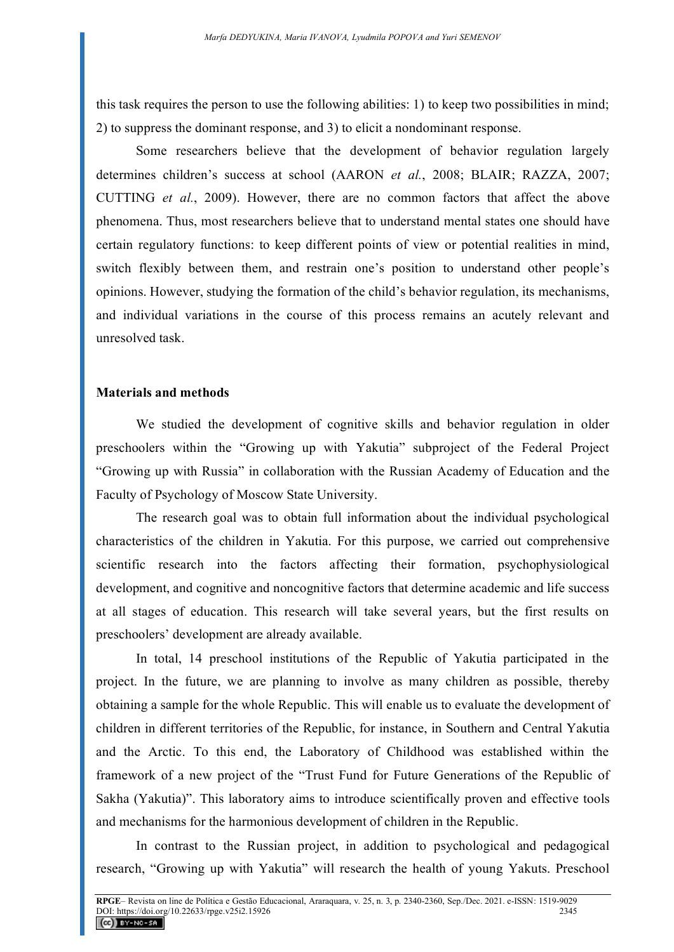this task requires the person to use the following abilities: 1) to keep two possibilities in mind; 2) to suppress the dominant response, and 3) to elicit a nondominant response.

Some researchers believe that the development of behavior regulation largely determines children's success at school (AARON *et al.*, 2008; BLAIR; RAZZA, 2007; CUTTING *et al.*, 2009). However, there are no common factors that affect the above phenomena. Thus, most researchers believe that to understand mental states one should have certain regulatory functions: to keep different points of view or potential realities in mind, switch flexibly between them, and restrain one's position to understand other people's opinions. However, studying the formation of the child's behavior regulation, its mechanisms, and individual variations in the course of this process remains an acutely relevant and unresolved task.

#### **Materials and methods**

We studied the development of cognitive skills and behavior regulation in older preschoolers within the "Growing up with Yakutia" subproject of the Federal Project "Growing up with Russia" in collaboration with the Russian Academy of Education and the Faculty of Psychology of Moscow State University.

The research goal was to obtain full information about the individual psychological characteristics of the children in Yakutia. For this purpose, we carried out comprehensive scientific research into the factors affecting their formation, psychophysiological development, and cognitive and noncognitive factors that determine academic and life success at all stages of education. This research will take several years, but the first results on preschoolers' development are already available.

In total, 14 preschool institutions of the Republic of Yakutia participated in the project. In the future, we are planning to involve as many children as possible, thereby obtaining a sample for the whole Republic. This will enable us to evaluate the development of children in different territories of the Republic, for instance, in Southern and Central Yakutia and the Arctic. To this end, the Laboratory of Childhood was established within the framework of a new project of the "Trust Fund for Future Generations of the Republic of Sakha (Yakutia)". This laboratory aims to introduce scientifically proven and effective tools and mechanisms for the harmonious development of children in the Republic.

In contrast to the Russian project, in addition to psychological and pedagogical research, "Growing up with Yakutia" will research the health of young Yakuts. Preschool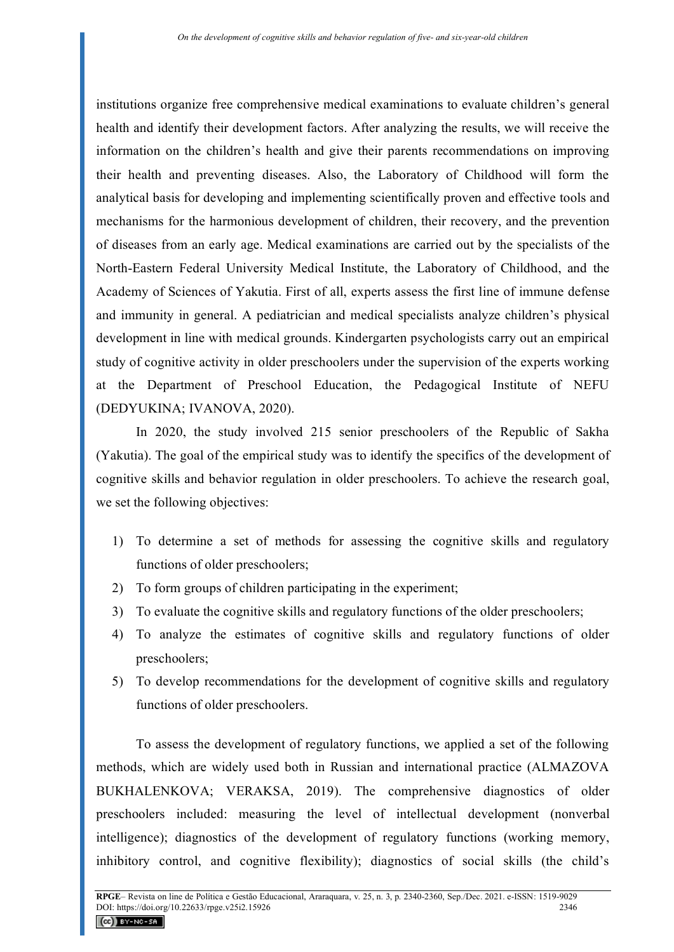institutions organize free comprehensive medical examinations to evaluate children's general health and identify their development factors. After analyzing the results, we will receive the information on the children's health and give their parents recommendations on improving their health and preventing diseases. Also, the Laboratory of Childhood will form the analytical basis for developing and implementing scientifically proven and effective tools and mechanisms for the harmonious development of children, their recovery, and the prevention of diseases from an early age. Medical examinations are carried out by the specialists of the North-Eastern Federal University Medical Institute, the Laboratory of Childhood, and the Academy of Sciences of Yakutia. First of all, experts assess the first line of immune defense and immunity in general. A pediatrician and medical specialists analyze children's physical development in line with medical grounds. Kindergarten psychologists carry out an empirical study of cognitive activity in older preschoolers under the supervision of the experts working at the Department of Preschool Education, the Pedagogical Institute of NEFU (DEDYUKINA; IVANOVA, 2020).

In 2020, the study involved 215 senior preschoolers of the Republic of Sakha (Yakutia). The goal of the empirical study was to identify the specifics of the development of cognitive skills and behavior regulation in older preschoolers. To achieve the research goal, we set the following objectives:

- 1) To determine a set of methods for assessing the cognitive skills and regulatory functions of older preschoolers;
- 2) To form groups of children participating in the experiment;
- 3) To evaluate the cognitive skills and regulatory functions of the older preschoolers;
- 4) To analyze the estimates of cognitive skills and regulatory functions of older preschoolers;
- 5) To develop recommendations for the development of cognitive skills and regulatory functions of older preschoolers.

To assess the development of regulatory functions, we applied a set of the following methods, which are widely used both in Russian and international practice (ALMAZOVA BUKHALENKOVA; VERAKSA, 2019). The comprehensive diagnostics of older preschoolers included: measuring the level of intellectual development (nonverbal intelligence); diagnostics of the development of regulatory functions (working memory, inhibitory control, and cognitive flexibility); diagnostics of social skills (the child's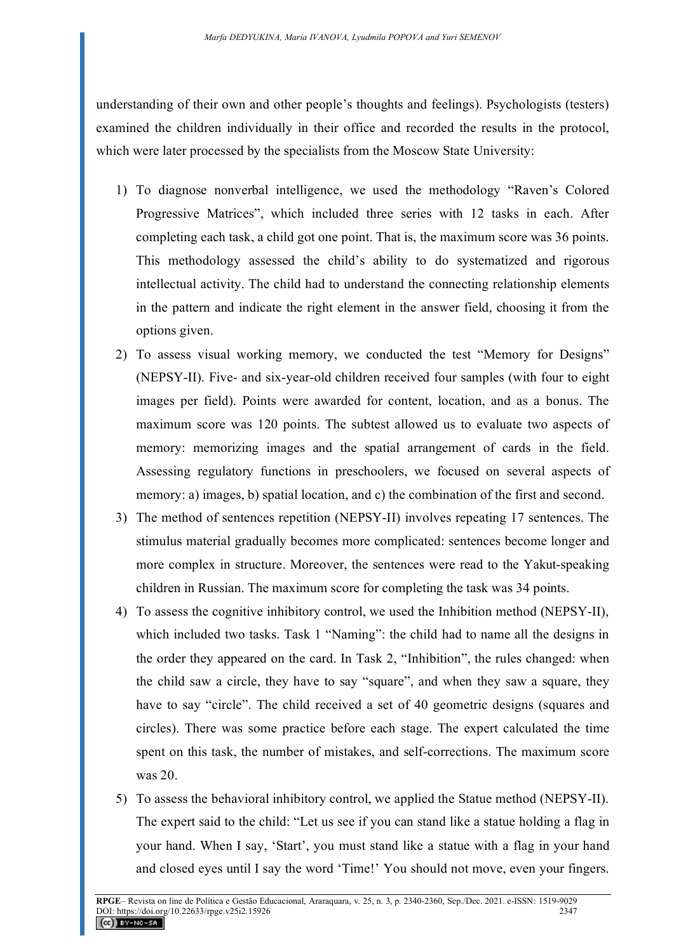understanding of their own and other people's thoughts and feelings). Psychologists (testers) examined the children individually in their office and recorded the results in the protocol, which were later processed by the specialists from the Moscow State University:

- 1) To diagnose nonverbal intelligence, we used the methodology "Raven's Colored Progressive Matrices", which included three series with 12 tasks in each. After completing each task, a child got one point. That is, the maximum score was 36 points. This methodology assessed the child's ability to do systematized and rigorous intellectual activity. The child had to understand the connecting relationship elements in the pattern and indicate the right element in the answer field, choosing it from the options given.
- 2) To assess visual working memory, we conducted the test "Memory for Designs" (NEPSY-II). Five- and six-year-old children received four samples (with four to eight images per field). Points were awarded for content, location, and as a bonus. The maximum score was 120 points. The subtest allowed us to evaluate two aspects of memory: memorizing images and the spatial arrangement of cards in the field. Assessing regulatory functions in preschoolers, we focused on several aspects of memory: a) images, b) spatial location, and c) the combination of the first and second.
- 3) The method of sentences repetition (NEPSY-II) involves repeating 17 sentences. The stimulus material gradually becomes more complicated: sentences become longer and more complex in structure. Moreover, the sentences were read to the Yakut-speaking children in Russian. The maximum score for completing the task was 34 points.
- 4) To assess the cognitive inhibitory control, we used the Inhibition method (NEPSY-II), which included two tasks. Task 1 "Naming": the child had to name all the designs in the order they appeared on the card. In Task 2, "Inhibition", the rules changed: when the child saw a circle, they have to say "square", and when they saw a square, they have to say "circle". The child received a set of 40 geometric designs (squares and circles). There was some practice before each stage. The expert calculated the time spent on this task, the number of mistakes, and self-corrections. The maximum score was 20.
- 5) To assess the behavioral inhibitory control, we applied the Statue method (NEPSY-II). The expert said to the child: "Let us see if you can stand like a statue holding a flag in your hand. When I say, 'Start', you must stand like a statue with a flag in your hand and closed eyes until I say the word 'Time!' You should not move, even your fingers.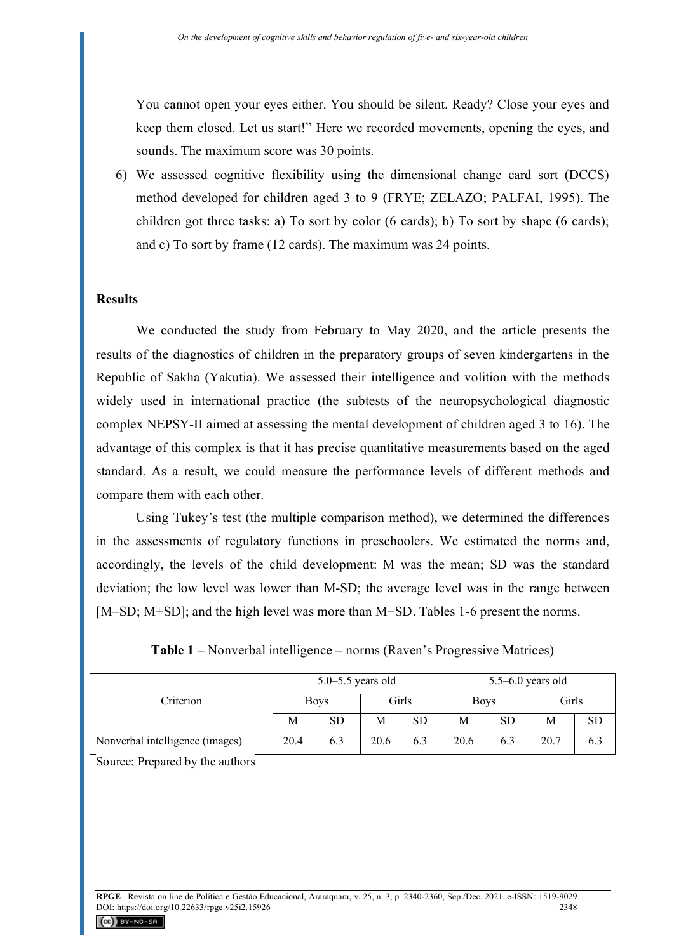You cannot open your eyes either. You should be silent. Ready? Close your eyes and keep them closed. Let us start!" Here we recorded movements, opening the eyes, and sounds. The maximum score was 30 points.

6) We assessed cognitive flexibility using the dimensional change card sort (DCCS) method developed for children aged 3 to 9 (FRYE; ZELAZO; PALFAI, 1995). The children got three tasks: a) To sort by color (6 cards); b) To sort by shape (6 cards); and c) To sort by frame (12 cards). The maximum was 24 points.

#### **Results**

We conducted the study from February to May 2020, and the article presents the results of the diagnostics of children in the preparatory groups of seven kindergartens in the Republic of Sakha (Yakutia). We assessed their intelligence and volition with the methods widely used in international practice (the subtests of the neuropsychological diagnostic complex NEPSY-II aimed at assessing the mental development of children aged 3 to 16). The advantage of this complex is that it has precise quantitative measurements based on the aged standard. As a result, we could measure the performance levels of different methods and compare them with each other.

Using Tukey's test (the multiple comparison method), we determined the differences in the assessments of regulatory functions in preschoolers. We estimated the norms and, accordingly, the levels of the child development: M was the mean; SD was the standard deviation; the low level was lower than M-SD; the average level was in the range between [M–SD; M+SD]; and the high level was more than M+SD. Tables 1-6 present the norms.

|                                 | $5.0 - 5.5$ years old |           |       |           | $5.5 - 6.0$ years old |           |       |           |
|---------------------------------|-----------------------|-----------|-------|-----------|-----------------------|-----------|-------|-----------|
| Criterion                       | <b>Boys</b>           |           | Girls |           | <b>Boys</b>           |           | Girls |           |
|                                 | M                     | <b>SD</b> | M     | <b>SD</b> | M                     | <b>SD</b> | Μ     | <b>SD</b> |
| Nonverbal intelligence (images) | 20.4                  | 6.3       | 20.6  | 6.3       | 20.6                  | 6.3       | 20.7  | 6.3       |

**Table 1** – Nonverbal intelligence – norms (Raven's Progressive Matrices)

Source: Prepared by the authors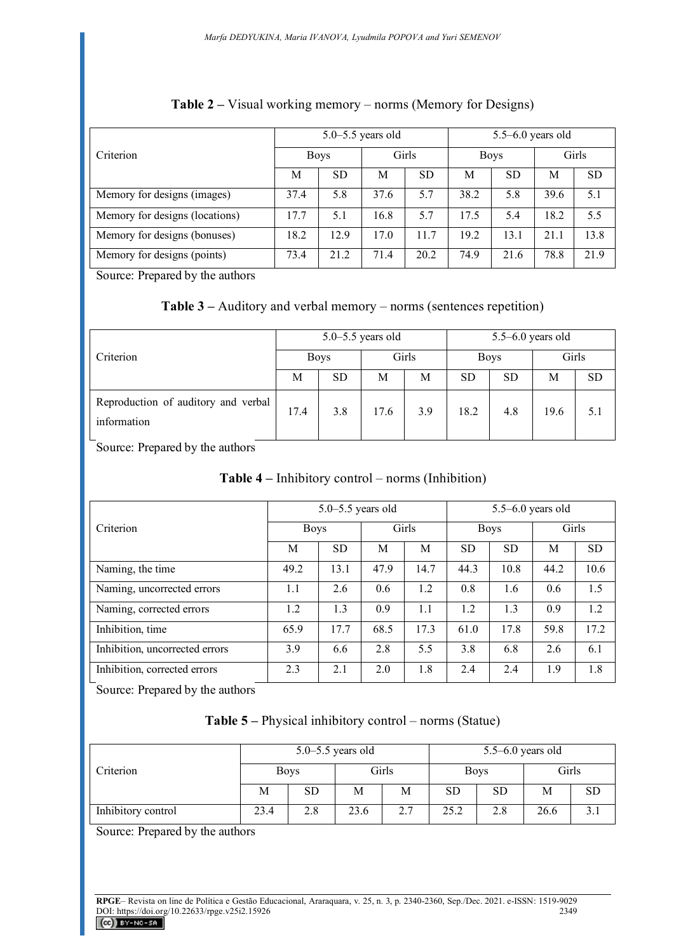|                                |      |             | $5.0 - 5.5$ years old |           | $5.5 - 6.0$ years old |             |      |           |
|--------------------------------|------|-------------|-----------------------|-----------|-----------------------|-------------|------|-----------|
| Criterion                      |      | <b>Boys</b> |                       | Girls     |                       | <b>Boys</b> |      | Girls     |
|                                | М    | <b>SD</b>   | M                     | <b>SD</b> | М                     | <b>SD</b>   | М    | <b>SD</b> |
| Memory for designs (images)    | 37.4 | 5.8         | 37.6                  | 5.7       | 38.2                  | 5.8         | 39.6 | 5.1       |
| Memory for designs (locations) | 17.7 | 5.1         | 16.8                  | 5.7       | 17.5                  | 5.4         | 18.2 | 5.5       |
| Memory for designs (bonuses)   | 18.2 | 12.9        | 17.0                  | 11.7      | 19.2                  | 13.1        | 21.1 | 13.8      |
| Memory for designs (points)    | 73.4 | 21.2        | 71.4                  | 20.2      | 74.9                  | 21.6        | 78.8 | 21.9      |

# **Table 2 –** Visual working memory – norms (Memory for Designs)

Source: Prepared by the authors

### **Table 3 –** Auditory and verbal memory – norms (sentences repetition)

|                                                    |             |           | $5.0 - 5.5$ years old |     | $5.5 - 6.0$ years old |           |       |           |
|----------------------------------------------------|-------------|-----------|-----------------------|-----|-----------------------|-----------|-------|-----------|
| Criterion                                          | <b>Boys</b> |           | Girls                 |     | <b>Boys</b>           |           | Girls |           |
|                                                    | М           | <b>SD</b> | М                     | M   | <b>SD</b>             | <b>SD</b> | М     | <b>SD</b> |
| Reproduction of auditory and verbal<br>information | 17.4        | 3.8       | 17.6                  | 3.9 | 18.2                  | 4.8       | 19.6  | 5.1       |

Source: Prepared by the authors

# **Table 4 –** Inhibitory control – norms (Inhibition)

|                                |             | $5.0 - 5.5$ years old |       |      | $5.5 - 6.0$ years old |           |       |           |
|--------------------------------|-------------|-----------------------|-------|------|-----------------------|-----------|-------|-----------|
| Criterion                      | <b>Boys</b> |                       | Girls |      | <b>Boys</b>           |           | Girls |           |
|                                | M           | <b>SD</b>             | M     | M    | <b>SD</b>             | <b>SD</b> | М     | <b>SD</b> |
| Naming, the time               | 49.2        | 13.1                  | 47.9  | 14.7 | 44.3                  | 10.8      | 44.2  | 10.6      |
| Naming, uncorrected errors     | 1.1         | 2.6                   | 0.6   | 1.2  | 0.8                   | 1.6       | 0.6   | 1.5       |
| Naming, corrected errors       | 1.2         | 1.3                   | 0.9   | 1.1  | 1.2                   | 1.3       | 0.9   | 1.2       |
| Inhibition, time               | 65.9        | 17.7                  | 68.5  | 17.3 | 61.0                  | 17.8      | 59.8  | 17.2      |
| Inhibition, uncorrected errors | 3.9         | 6.6                   | 2.8   | 5.5  | 3.8                   | 6.8       | 2.6   | 6.1       |
| Inhibition, corrected errors   | 2.3         | 2.1                   | 2.0   | 1.8  | 2.4                   | 2.4       | 1.9   | 1.8       |

Source: Prepared by the authors

|                    |             |    | $5.0 - 5.5$ years old |       | $5.5 - 6.0$ years old |           |       |    |
|--------------------|-------------|----|-----------------------|-------|-----------------------|-----------|-------|----|
| Criterion          | <b>Boys</b> |    |                       | Girls | <b>Boys</b>           |           | Girls |    |
|                    | М           | SD | М                     | М     | <b>SD</b>             | <b>SD</b> | М     | SD |
| Inhibitory control | 23.4<br>2.8 |    | 23.6                  | 2.7   | 25.2                  | 2.8       | 26.6  |    |

Source: Prepared by the authors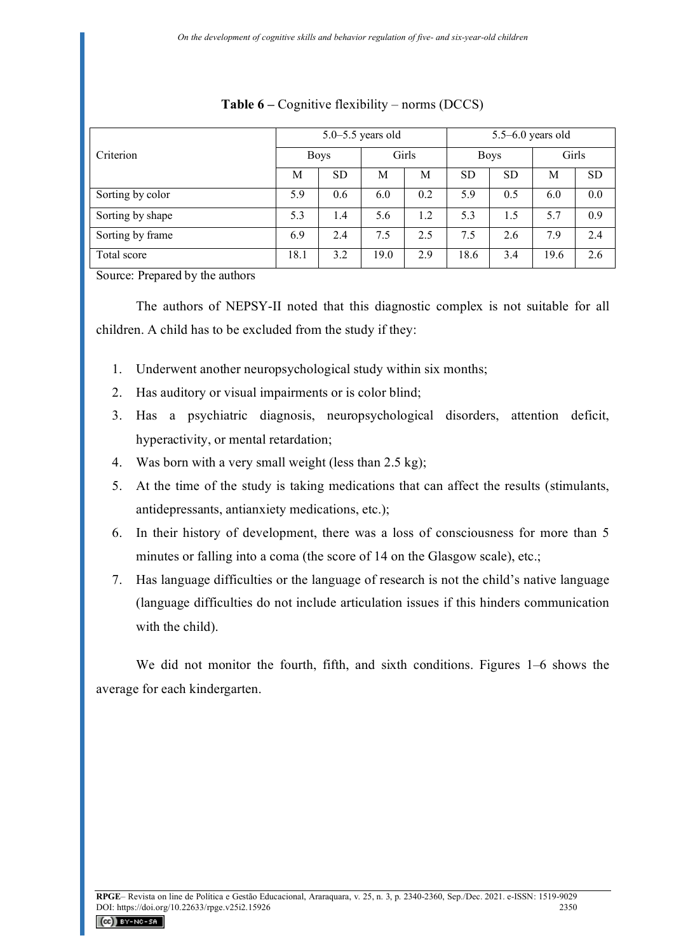|                  | $5.0 - 5.5$ years old |             |      |       | $5.5 - 6.0$ years old |             |       |           |
|------------------|-----------------------|-------------|------|-------|-----------------------|-------------|-------|-----------|
| Criterion        |                       | <b>Boys</b> |      | Girls |                       | <b>Boys</b> | Girls |           |
|                  | M                     | <b>SD</b>   | M    | M     | <b>SD</b>             | <b>SD</b>   | М     | <b>SD</b> |
| Sorting by color | 5.9                   | 0.6         | 6.0  | 0.2   | 5.9                   | 0.5         | 6.0   | 0.0       |
| Sorting by shape | 5.3                   | 1.4         | 5.6  | 1.2   | 5.3                   | 1.5         | 5.7   | 0.9       |
| Sorting by frame | 6.9                   | 2.4         | 7.5  | 2.5   | 7.5                   | 2.6         | 7.9   | 2.4       |
| Total score      | 18.1                  | 3.2         | 19.0 | 2.9   | 18.6                  | 3.4         | 19.6  | 2.6       |

### **Table 6 –** Cognitive flexibility – norms (DCCS)

Source: Prepared by the authors

The authors of NEPSY-II noted that this diagnostic complex is not suitable for all children. A child has to be excluded from the study if they:

- 1. Underwent another neuropsychological study within six months;
- 2. Has auditory or visual impairments or is color blind;
- 3. Has a psychiatric diagnosis, neuropsychological disorders, attention deficit, hyperactivity, or mental retardation;
- 4. Was born with a very small weight (less than 2.5 kg);
- 5. At the time of the study is taking medications that can affect the results (stimulants, antidepressants, antianxiety medications, etc.);
- 6. In their history of development, there was a loss of consciousness for more than 5 minutes or falling into a coma (the score of 14 on the Glasgow scale), etc.;
- 7. Has language difficulties or the language of research is not the child's native language (language difficulties do not include articulation issues if this hinders communication with the child).

We did not monitor the fourth, fifth, and sixth conditions. Figures 1–6 shows the average for each kindergarten.

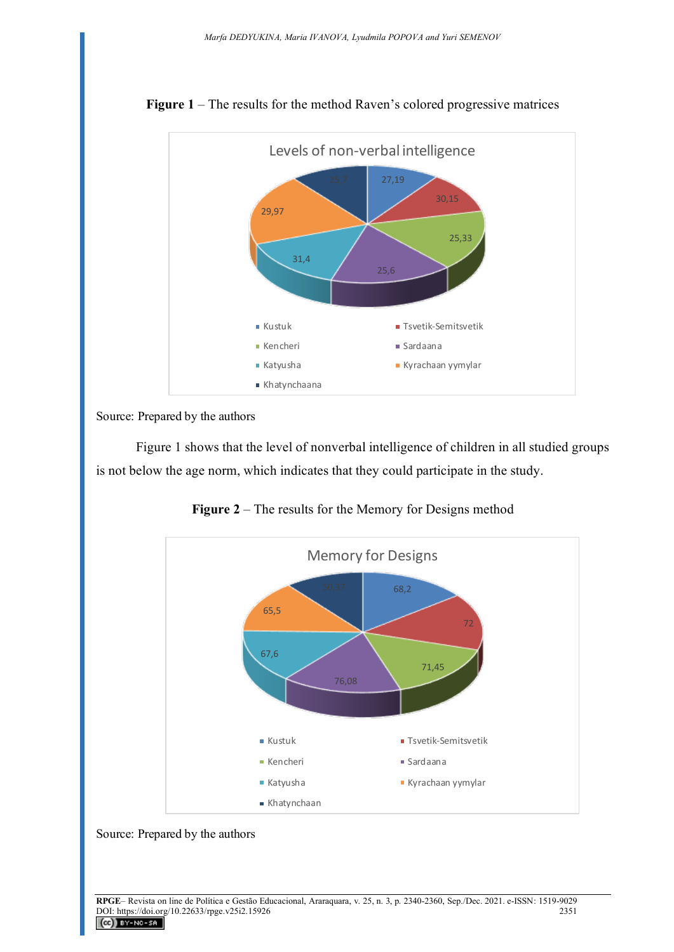

**Figure 1** – The results for the method Raven's colored progressive matrices

Source: Prepared by the authors

Figure 1 shows that the level of nonverbal intelligence of children in all studied groups is not below the age norm, which indicates that they could participate in the study.



**Figure 2** – The results for the Memory for Designs method

Source: Prepared by the authors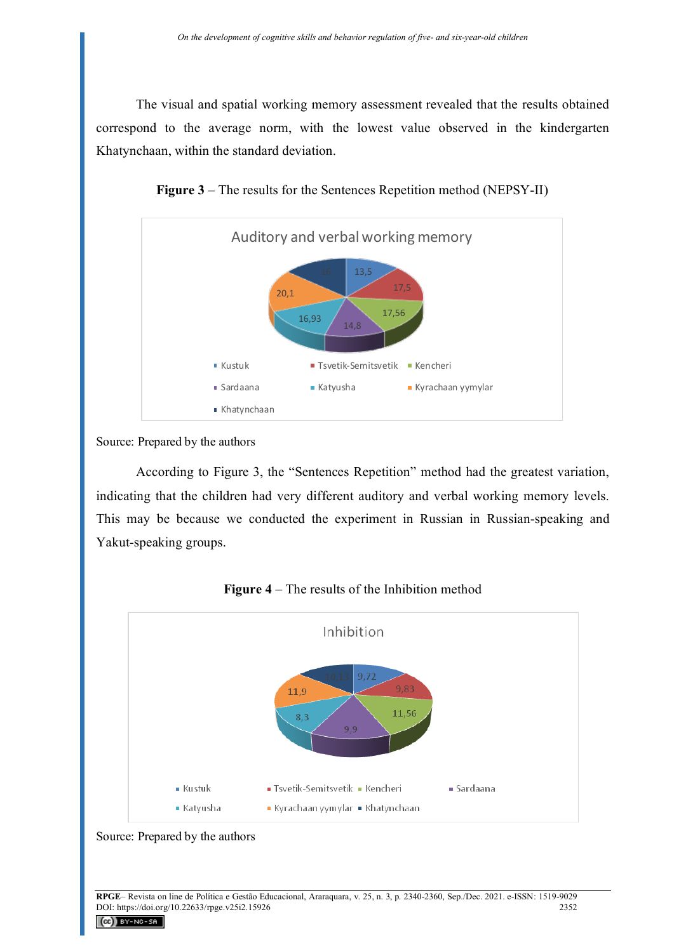The visual and spatial working memory assessment revealed that the results obtained correspond to the average norm, with the lowest value observed in the kindergarten Khatynchaan, within the standard deviation.



**Figure 3** – The results for the Sentences Repetition method (NEPSY-II)

Source: Prepared by the authors

According to Figure 3, the "Sentences Repetition" method had the greatest variation, indicating that the children had very different auditory and verbal working memory levels. This may be because we conducted the experiment in Russian in Russian-speaking and Yakut-speaking groups.





Source: Prepared by the authors

 $(cc)$  BY-NC-SA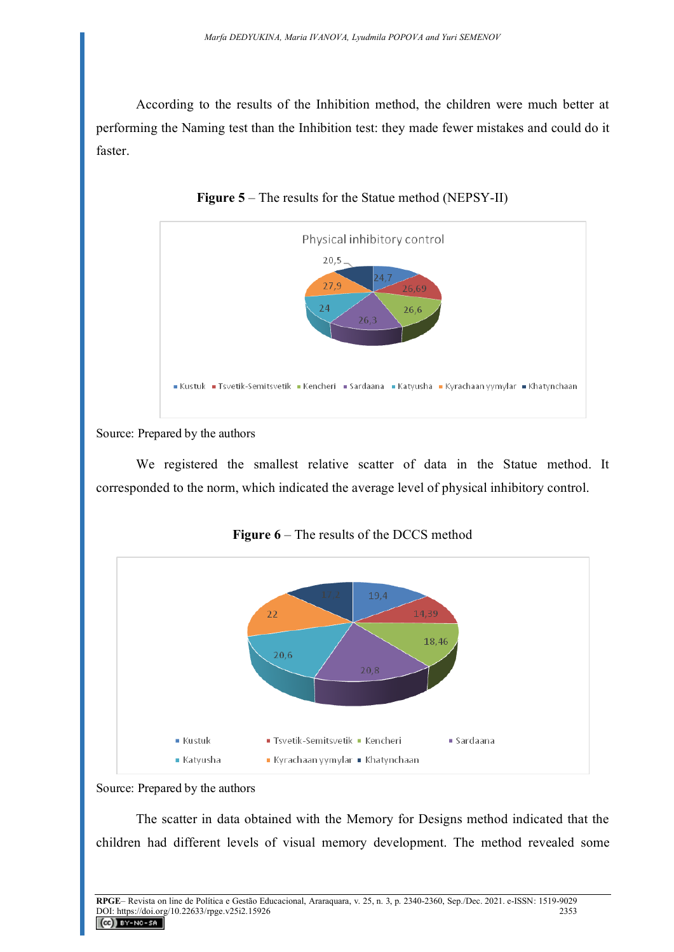According to the results of the Inhibition method, the children were much better at performing the Naming test than the Inhibition test: they made fewer mistakes and could do it faster.



**Figure 5** – The results for the Statue method (NEPSY-II)

Source: Prepared by the authors

We registered the smallest relative scatter of data in the Statue method. It corresponded to the norm, which indicated the average level of physical inhibitory control.





Source: Prepared by the authors

The scatter in data obtained with the Memory for Designs method indicated that the children had different levels of visual memory development. The method revealed some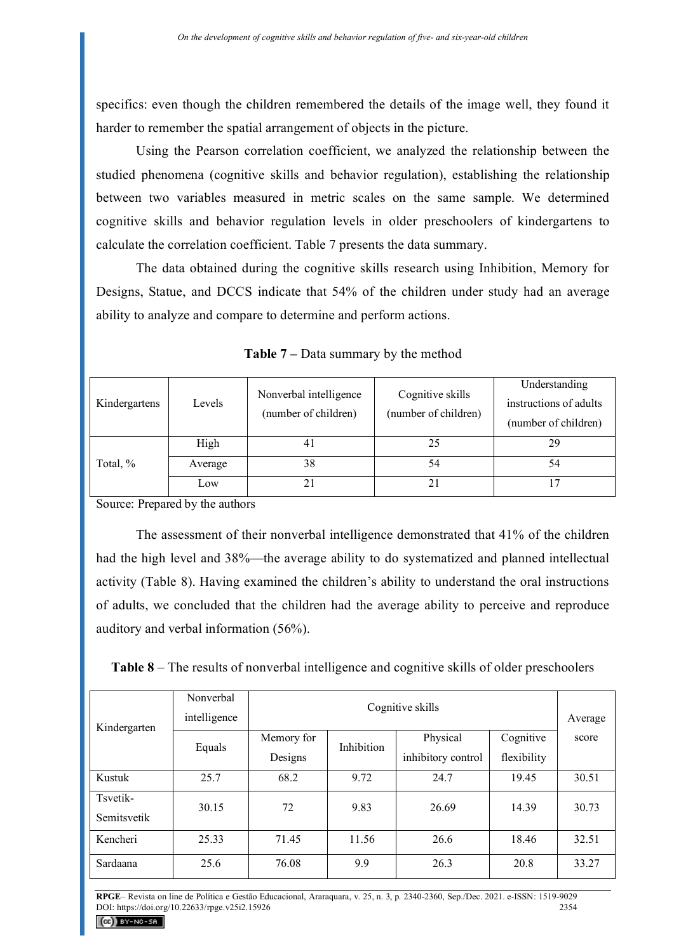specifics: even though the children remembered the details of the image well, they found it harder to remember the spatial arrangement of objects in the picture.

Using the Pearson correlation coefficient, we analyzed the relationship between the studied phenomena (cognitive skills and behavior regulation), establishing the relationship between two variables measured in metric scales on the same sample. We determined cognitive skills and behavior regulation levels in older preschoolers of kindergartens to calculate the correlation coefficient. Table 7 presents the data summary.

The data obtained during the cognitive skills research using Inhibition, Memory for Designs, Statue, and DCCS indicate that 54% of the children under study had an average ability to analyze and compare to determine and perform actions.

|               |         |                        |                      | Understanding          |
|---------------|---------|------------------------|----------------------|------------------------|
| Kindergartens | Levels  | Nonverbal intelligence | Cognitive skills     | instructions of adults |
|               |         | (number of children)   | (number of children) | (number of children)   |
|               | High    | 4 I                    | 25                   | 29                     |
| Total, %      | Average | 38                     | 54                   | 54                     |
|               | Low     |                        |                      |                        |

**Table 7 –** Data summary by the method

Source: Prepared by the authors

The assessment of their nonverbal intelligence demonstrated that 41% of the children had the high level and 38%—the average ability to do systematized and planned intellectual activity (Table 8). Having examined the children's ability to understand the oral instructions of adults, we concluded that the children had the average ability to perceive and reproduce auditory and verbal information (56%).

| Kindergarten            | Nonverbal<br>intelligence |            | Cognitive skills  |                    |             |       |  |  |
|-------------------------|---------------------------|------------|-------------------|--------------------|-------------|-------|--|--|
|                         |                           | Memory for | <b>Inhibition</b> | Physical           | Cognitive   | score |  |  |
|                         | Equals                    | Designs    |                   | inhibitory control | flexibility |       |  |  |
| Kustuk                  | 25.7                      | 68.2       | 9.72              | 24.7               | 19.45       | 30.51 |  |  |
| Tsvetik-<br>Semitsvetik | 30.15                     | 72         | 9.83              | 26.69              | 14.39       | 30.73 |  |  |
| Kencheri                | 25.33                     | 71.45      | 11.56             | 26.6               | 18.46       | 32.51 |  |  |
| Sardaana                | 25.6                      | 76.08      | 9.9               | 26.3               | 20.8        | 33.27 |  |  |

**RPGE**– Revista on line de Política e Gestão Educacional, Araraquara, v. 25, n. 3, p. 2340-2360, Sep./Dec. 2021. e-ISSN: 1519-9029 DOI: https://doi.org/10.22633/rpge.v25i2.15926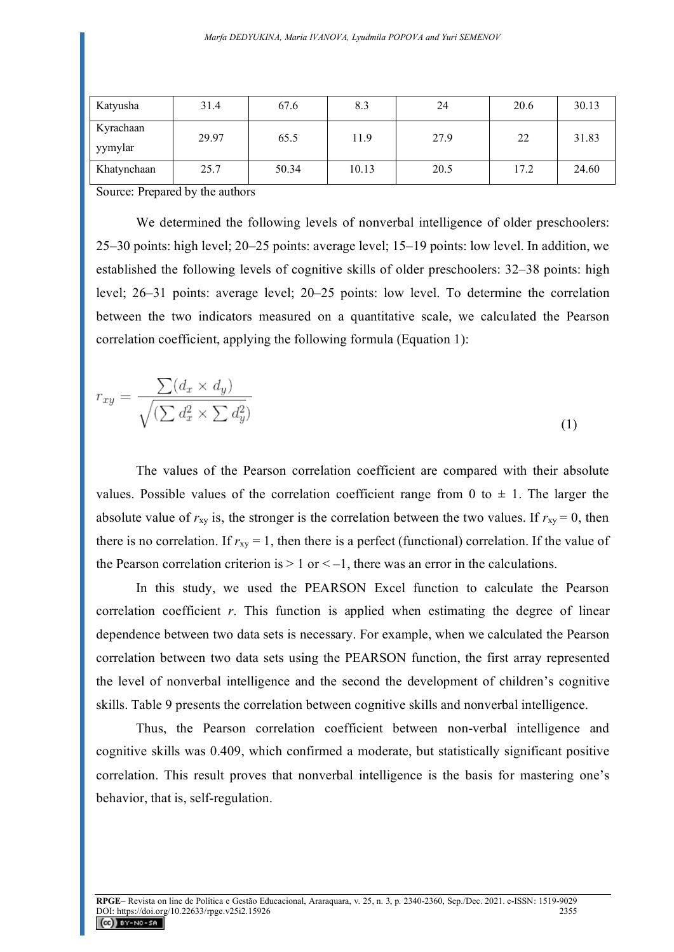| Katyusha             | 31.4  | 67.6  | 8.3   | 24   | 20.6 | 30.13 |
|----------------------|-------|-------|-------|------|------|-------|
| Kyrachaan<br>yymylar | 29.97 | 65.5  | 11.9  | 27.9 | 22   | 31.83 |
| Khatynchaan          | 25.7  | 50.34 | 10.13 | 20.5 | 17.2 | 24.60 |

Source: Prepared by the authors

We determined the following levels of nonverbal intelligence of older preschoolers: 25–30 points: high level; 20–25 points: average level; 15–19 points: low level. In addition, we established the following levels of cognitive skills of older preschoolers: 32–38 points: high level; 26–31 points: average level; 20–25 points: low level. To determine the correlation between the two indicators measured on a quantitative scale, we calculated the Pearson correlation coefficient, applying the following formula (Equation 1):

$$
r_{xy} = \frac{\sum (d_x \times d_y)}{\sqrt{(\sum d_x^2 \times \sum d_y^2)}}
$$
\n(1)

The values of the Pearson correlation coefficient are compared with their absolute values. Possible values of the correlation coefficient range from 0 to  $\pm$  1. The larger the absolute value of  $r_{xy}$  is, the stronger is the correlation between the two values. If  $r_{xy} = 0$ , then there is no correlation. If  $r_{xy} = 1$ , then there is a perfect (functional) correlation. If the value of the Pearson correlation criterion is  $> 1$  or  $<-1$ , there was an error in the calculations.

In this study, we used the PEARSON Excel function to calculate the Pearson correlation coefficient *r*. This function is applied when estimating the degree of linear dependence between two data sets is necessary. For example, when we calculated the Pearson correlation between two data sets using the PEARSON function, the first array represented the level of nonverbal intelligence and the second the development of children's cognitive skills. Table 9 presents the correlation between cognitive skills and nonverbal intelligence.

Thus, the Pearson correlation coefficient between non-verbal intelligence and cognitive skills was 0.409, which confirmed a moderate, but statistically significant positive correlation. This result proves that nonverbal intelligence is the basis for mastering one's behavior, that is, self-regulation.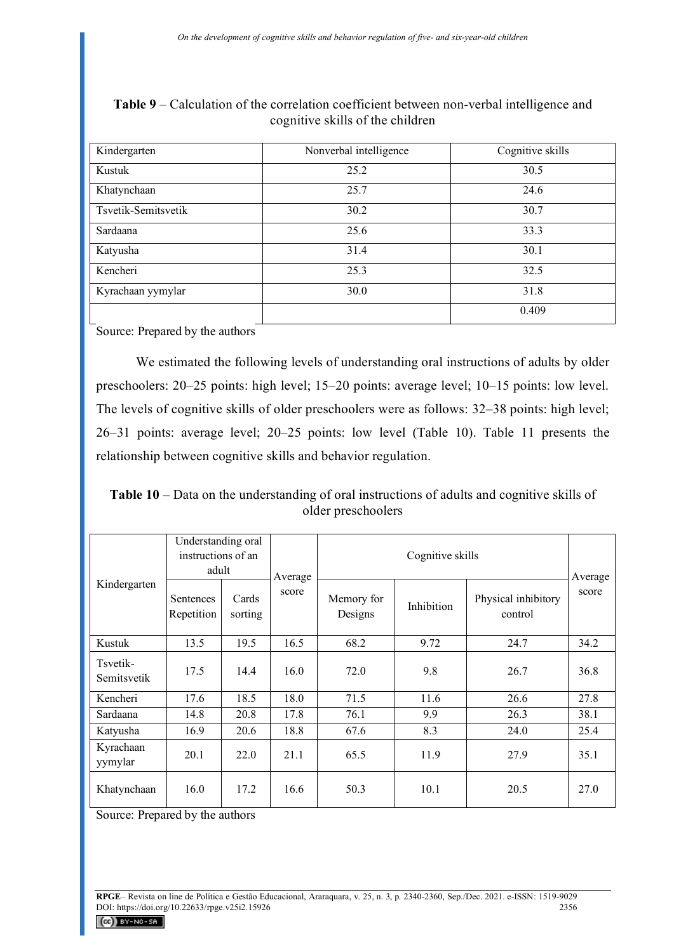| Kindergarten        | Nonverbal intelligence | Cognitive skills |
|---------------------|------------------------|------------------|
| Kustuk              | 25.2                   | 30.5             |
| Khatynchaan         | 25.7                   | 24.6             |
| Tsvetik-Semitsvetik | 30.2                   | 30.7             |
| Sardaana            | 25.6                   | 33.3             |
| Katyusha            | 31.4                   | 30.1             |
| Kencheri            | 25.3                   | 32.5             |
| Kyrachaan yymylar   | 30.0                   | 31.8             |
|                     |                        | 0.409            |

**Table 9** – Calculation of the correlation coefficient between non-verbal intelligence and cognitive skills of the children

Source: Prepared by the authors

We estimated the following levels of understanding oral instructions of adults by older preschoolers: 20–25 points: high level; 15–20 points: average level; 10–15 points: low level. The levels of cognitive skills of older preschoolers were as follows: 32–38 points: high level; 26–31 points: average level; 20–25 points: low level (Table 10). Table 11 presents the relationship between cognitive skills and behavior regulation.

**Table 10** – Data on the understanding of oral instructions of adults and cognitive skills of older preschoolers

| Kindergarten            | Understanding oral<br>instructions of an<br>adult |                  | Average | Cognitive skills      |            |                                | Average |
|-------------------------|---------------------------------------------------|------------------|---------|-----------------------|------------|--------------------------------|---------|
|                         | Sentences<br>Repetition                           | Cards<br>sorting | score   | Memory for<br>Designs | Inhibition | Physical inhibitory<br>control | score   |
| Kustuk                  | 13.5                                              | 19.5             | 16.5    | 68.2                  | 9.72       | 24.7                           | 34.2    |
| Tsvetik-<br>Semitsvetik | 17.5                                              | 14.4             | 16.0    | 72.0                  | 9.8        | 26.7                           | 36.8    |
| Kencheri                | 17.6                                              | 18.5             | 18.0    | 71.5                  | 11.6       | 26.6                           | 27.8    |
| Sardaana                | 14.8                                              | 20.8             | 17.8    | 76.1                  | 9.9        | 26.3                           | 38.1    |
| Katyusha                | 16.9                                              | 20.6             | 18.8    | 67.6                  | 8.3        | 24.0                           | 25.4    |
| Kyrachaan<br>yymylar    | 20.1                                              | 22.0             | 21.1    | 65.5                  | 11.9       | 27.9                           | 35.1    |
| Khatynchaan             | 16.0                                              | 17.2             | 16.6    | 50.3                  | 10.1       | 20.5                           | 27.0    |

Source: Prepared by the authors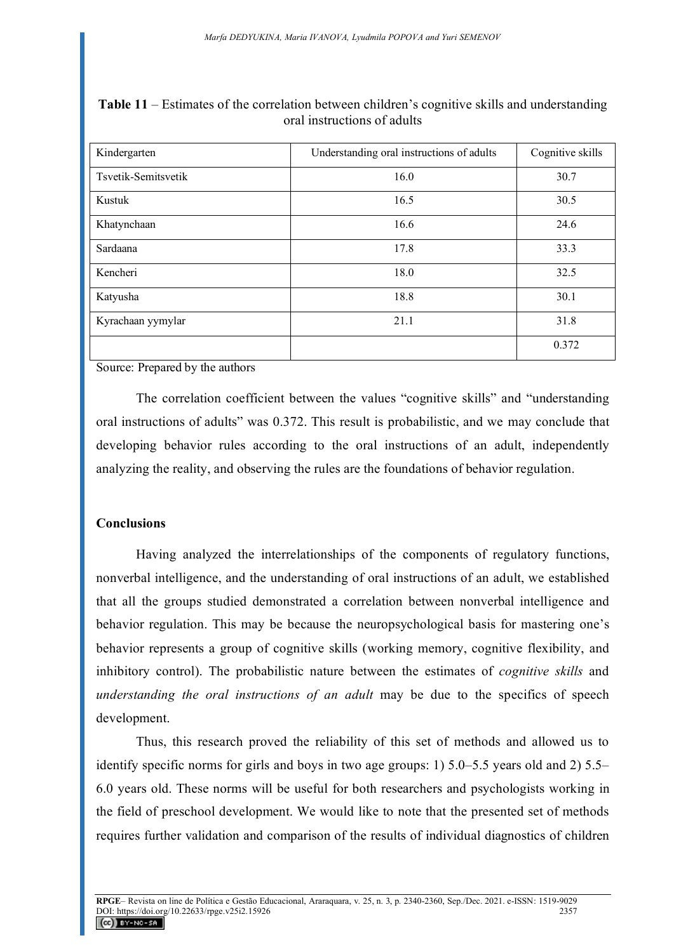| Kindergarten        | Understanding oral instructions of adults | Cognitive skills |
|---------------------|-------------------------------------------|------------------|
| Tsvetik-Semitsvetik | 16.0                                      | 30.7             |
| Kustuk              | 16.5                                      | 30.5             |
| Khatynchaan         | 16.6                                      | 24.6             |
| Sardaana            | 17.8                                      | 33.3             |
| Kencheri            | 18.0                                      | 32.5             |
| Katyusha            | 18.8                                      | 30.1             |
| Kyrachaan yymylar   | 21.1                                      | 31.8             |
|                     |                                           | 0.372            |

**Table 11** – Estimates of the correlation between children's cognitive skills and understanding oral instructions of adults

Source: Prepared by the authors

The correlation coefficient between the values "cognitive skills" and "understanding oral instructions of adults" was 0.372. This result is probabilistic, and we may conclude that developing behavior rules according to the oral instructions of an adult, independently analyzing the reality, and observing the rules are the foundations of behavior regulation.

# **Conclusions**

Having analyzed the interrelationships of the components of regulatory functions, nonverbal intelligence, and the understanding of oral instructions of an adult, we established that all the groups studied demonstrated a correlation between nonverbal intelligence and behavior regulation. This may be because the neuropsychological basis for mastering one's behavior represents a group of cognitive skills (working memory, cognitive flexibility, and inhibitory control). The probabilistic nature between the estimates of *cognitive skills* and *understanding the oral instructions of an adult* may be due to the specifics of speech development.

Thus, this research proved the reliability of this set of methods and allowed us to identify specific norms for girls and boys in two age groups: 1) 5.0–5.5 years old and 2) 5.5– 6.0 years old. These norms will be useful for both researchers and psychologists working in the field of preschool development. We would like to note that the presented set of methods requires further validation and comparison of the results of individual diagnostics of children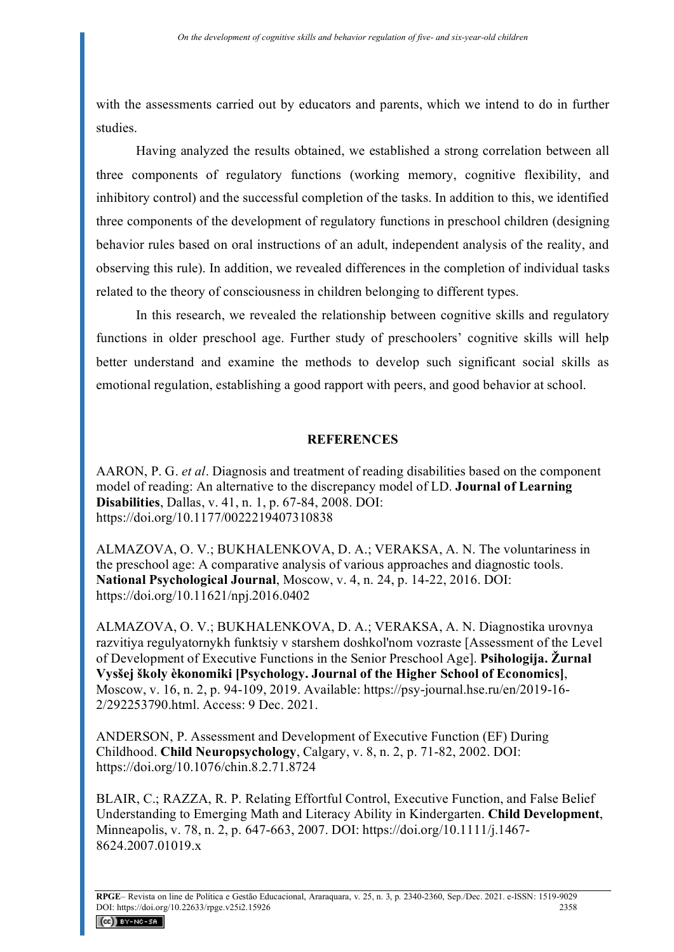with the assessments carried out by educators and parents, which we intend to do in further studies.

Having analyzed the results obtained, we established a strong correlation between all three components of regulatory functions (working memory, cognitive flexibility, and inhibitory control) and the successful completion of the tasks. In addition to this, we identified three components of the development of regulatory functions in preschool children (designing behavior rules based on oral instructions of an adult, independent analysis of the reality, and observing this rule). In addition, we revealed differences in the completion of individual tasks related to the theory of consciousness in children belonging to different types.

In this research, we revealed the relationship between cognitive skills and regulatory functions in older preschool age. Further study of preschoolers' cognitive skills will help better understand and examine the methods to develop such significant social skills as emotional regulation, establishing a good rapport with peers, and good behavior at school.

### **REFERENCES**

AARON, P. G. *et al*. Diagnosis and treatment of reading disabilities based on the component model of reading: An alternative to the discrepancy model of LD. **Journal of Learning Disabilities**, Dallas, v. 41, n. 1, p. 67-84, 2008. DOI: https://doi.org/10.1177/0022219407310838

ALMAZOVA, O. V.; BUKHALENKOVA, D. A.; VERAKSA, A. N. The voluntariness in the preschool age: A comparative analysis of various approaches and diagnostic tools. **National Psychological Journal**, Moscow, v. 4, n. 24, p. 14-22, 2016. DOI: https://doi.org/10.11621/npj.2016.0402

ALMAZOVA, O. V.; BUKHALENKOVA, D. A.; VERAKSA, A. N. Diagnostika urovnya razvitiya regulyatornykh funktsiy v starshem doshkol'nom vozraste [Assessment of the Level of Development of Executive Functions in the Senior Preschool Age]. **Psihologija. Žurnal Vysšej školy èkonomiki [Psychology. Journal of the Higher School of Economics]**, Moscow, v. 16, n. 2, p. 94-109, 2019. Available: https://psy-journal.hse.ru/en/2019-16- 2/292253790.html. Access: 9 Dec. 2021.

ANDERSON, P. Assessment and Development of Executive Function (EF) During Childhood. **Child Neuropsychology**, Calgary, v. 8, n. 2, p. 71-82, 2002. DOI: https://doi.org/10.1076/chin.8.2.71.8724

BLAIR, C.; RAZZA, R. P. Relating Effortful Control, Executive Function, and False Belief Understanding to Emerging Math and Literacy Ability in Kindergarten. **Child Development**, Minneapolis, v. 78, n. 2, p. 647-663, 2007. DOI: https://doi.org/10.1111/j.1467- 8624.2007.01019.x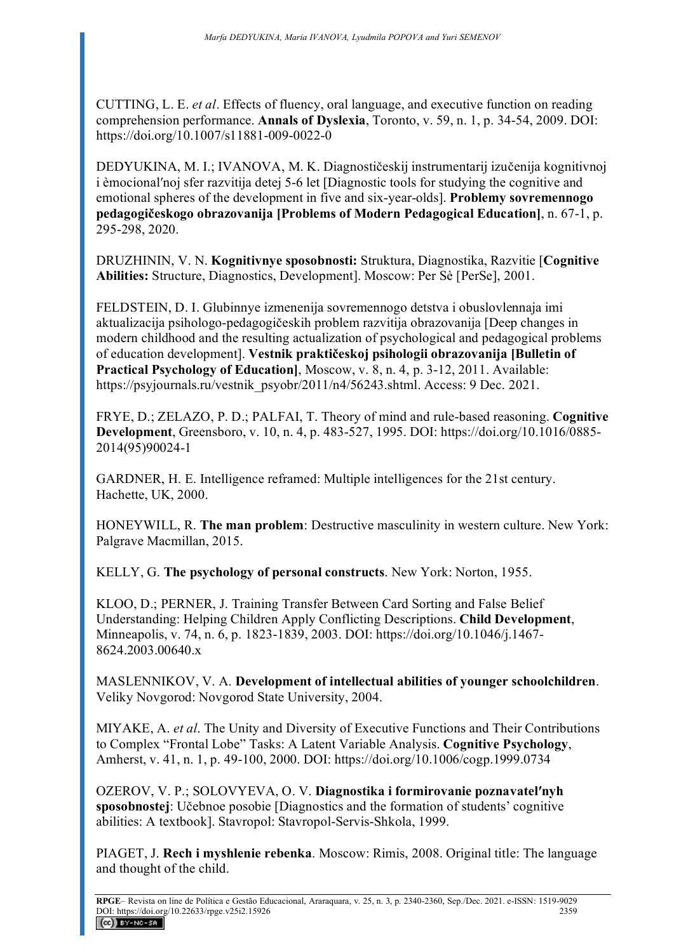CUTTING, L. E. *et al*. Effects of fluency, oral language, and executive function on reading comprehension performance. **Annals of Dyslexia**, Toronto, v. 59, n. 1, p. 34-54, 2009. DOI: https://doi.org/10.1007/s11881-009-0022-0

DEDYUKINA, M. I.; IVANOVA, M. K. Diagnostičeskij instrumentarij izučenija kognitivnoj i èmocionalʹnoj sfer razvitija detej 5-6 let [Diagnostic tools for studying the cognitive and emotional spheres of the development in five and six-year-olds]. **Problemy sovremennogo pedagogičeskogo obrazovanija [Problems of Modern Pedagogical Education]**, n. 67-1, p. 295-298, 2020.

DRUZHININ, V. N. **Kognitivnye sposobnosti:** Struktura, Diagnostika, Razvitie [**Cognitive Abilities:** Structure, Diagnostics, Development]. Moscow: Per Sè [PerSe], 2001.

FELDSTEIN, D. I. Glubinnye izmenenija sovremennogo detstva i obuslovlennaja imi aktualizacija psihologo-pedagogičeskih problem razvitija obrazovanija [Deep changes in modern childhood and the resulting actualization of psychological and pedagogical problems of education development]. **Vestnik praktičeskoj psihologii obrazovanija [Bulletin of Practical Psychology of Education]**, Moscow, v. 8, n. 4, p. 3-12, 2011. Available: https://psyjournals.ru/vestnik\_psyobr/2011/n4/56243.shtml. Access: 9 Dec. 2021.

FRYE, D.; ZELAZO, P. D.; PALFAI, T. Theory of mind and rule-based reasoning. **Cognitive Development**, Greensboro, v. 10, n. 4, p. 483-527, 1995. DOI: https://doi.org/10.1016/0885- 2014(95)90024-1

GARDNER, H. E. Intelligence reframed: Multiple intelligences for the 21st century. Hachette, UK, 2000.

HONEYWILL, R. **The man problem**: Destructive masculinity in western culture. New York: Palgrave Macmillan, 2015.

KELLY, G. **The рsychology of рersonal сonstructs**. New York: Norton, 1955.

KLOO, D.; PERNER, J. Training Transfer Between Card Sorting and False Belief Understanding: Helping Children Apply Conflicting Descriptions. **Child Development**, Minneapolis, v. 74, n. 6, p. 1823-1839, 2003. DOI: https://doi.org/10.1046/j.1467- 8624.2003.00640.x

MASLENNIKOV, V. A. **Development of intellectual abilities of younger schoolchildren**. Veliky Novgorod: Novgorod State University, 2004.

MIYAKE, A. *et al*. The Unity and Diversity of Executive Functions and Their Contributions to Complex "Frontal Lobe" Tasks: A Latent Variable Analysis. **Cognitive Psychology**, Amherst, v. 41, n. 1, p. 49-100, 2000. DOI: https://doi.org/10.1006/cogp.1999.0734

OZEROV, V. P.; SOLOVYEVA, O. V. **Diagnostika i formirovanie poznavatelʹnyh sposobnostej**: Učebnoe posobie [Diagnostics and the formation of students' cognitive abilities: A textbook]. Stavropol: Stavropol-Servis-Shkola, 1999.

PIAGET, J. **Rech i myshlenie rebenka**. Moscow: Rimis, 2008. Original title: The language and thought of the child.